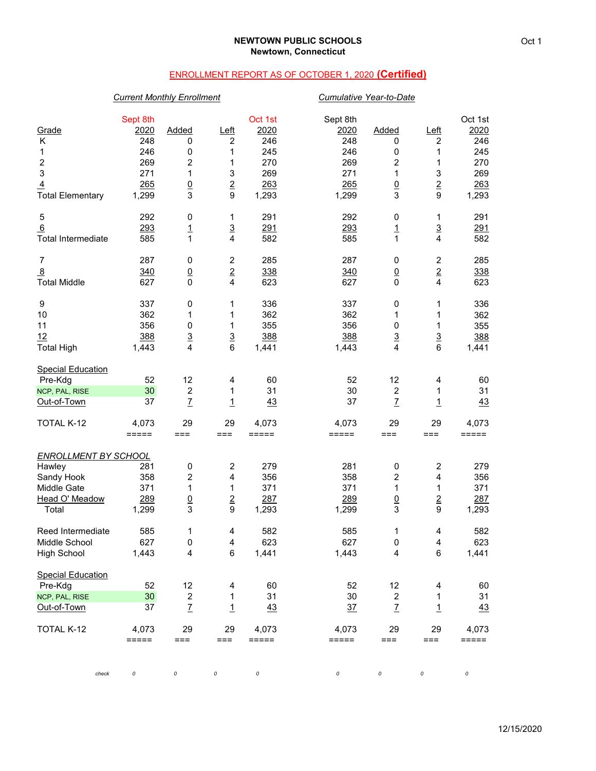# ENROLLMENT REPORT AS OF OCTOBER 1, 2020 **(Certified)**

## *Current Monthly Enrollment Cumulative Year-to-Date*

| Grade<br>Κ<br>1<br>$\overline{\mathbf{c}}$<br>3<br>$\overline{4}$<br><b>Total Elementary</b> | Sept 8th<br>2020<br>248<br>246<br>269<br>271<br>265<br>1,299 | Added<br>0<br>0<br>2<br>1<br>$\underline{0}$<br>3 | Left<br>2<br>1<br>1<br>3<br>$\overline{2}$<br>$\boldsymbol{9}$ | Oct 1st<br>2020<br>246<br>245<br>270<br>269<br>263<br>1,293 | Sept 8th<br>2020<br>248<br>246<br>269<br>271<br>265<br>1,299 | Added<br>0<br>0<br>2<br>1<br>$\underline{0}$<br>3 | <u>Left</u><br>$\overline{c}$<br>1<br>1<br>3<br>$\overline{2}$<br>9 | Oct 1st<br>2020<br>246<br>245<br>270<br>269<br>263<br>1,293 |
|----------------------------------------------------------------------------------------------|--------------------------------------------------------------|---------------------------------------------------|----------------------------------------------------------------|-------------------------------------------------------------|--------------------------------------------------------------|---------------------------------------------------|---------------------------------------------------------------------|-------------------------------------------------------------|
| 5                                                                                            | 292                                                          | 0                                                 | 1                                                              | 291                                                         | 292                                                          | 0                                                 | 1                                                                   | 291                                                         |
| 6<br><b>Total Intermediate</b>                                                               | 293<br>585                                                   | $\frac{1}{1}$                                     | $\frac{3}{4}$                                                  | 291<br>582                                                  | 293<br>585                                                   | $\overline{1}$<br>$\overline{1}$                  | $\frac{3}{4}$                                                       | <u>291</u><br>582                                           |
| $\overline{7}$                                                                               | 287                                                          | 0                                                 | 2                                                              | 285                                                         | 287                                                          | 0                                                 | $\overline{\mathbf{c}}$                                             | 285                                                         |
| 8<br><b>Total Middle</b>                                                                     | 340<br>627                                                   | $\underline{0}$<br>$\mathbf 0$                    | $\overline{2}$<br>4                                            | 338<br>623                                                  | 340<br>627                                                   | $\underline{0}$<br>0                              | $\overline{2}$<br>$\overline{4}$                                    | 338<br>623                                                  |
| 9                                                                                            | 337                                                          | 0                                                 | 1                                                              | 336                                                         | 337                                                          | 0                                                 | 1                                                                   | 336                                                         |
| 10                                                                                           | 362                                                          | 1                                                 | 1                                                              | 362                                                         | 362                                                          | 1                                                 | 1                                                                   | 362                                                         |
| 11                                                                                           | 356                                                          | 0                                                 | 1                                                              | 355                                                         | 356                                                          | 0                                                 | 1                                                                   | 355                                                         |
| 12<br><b>Total High</b>                                                                      | 388<br>1,443                                                 | $\underline{3}$<br>4                              | $\overline{3}$<br>6                                            | 388<br>1,441                                                | 388<br>1,443                                                 | $\overline{3}$<br>4                               | $\mathbf 3$<br>$6\phantom{1}$                                       | 388<br>1,441                                                |
| <b>Special Education</b>                                                                     |                                                              |                                                   |                                                                |                                                             |                                                              |                                                   |                                                                     |                                                             |
| Pre-Kdg                                                                                      | 52                                                           | 12                                                | 4                                                              | 60                                                          | 52                                                           | 12                                                | 4                                                                   | 60                                                          |
| NCP, PAL, RISE                                                                               | 30                                                           | $\boldsymbol{2}$                                  | 1                                                              | 31                                                          | 30                                                           | $\overline{c}$                                    | 1                                                                   | 31                                                          |
| Out-of-Town                                                                                  | 37                                                           | $\mathbf{Z}$                                      | $\overline{1}$                                                 | 43                                                          | 37                                                           | $\overline{L}$                                    | $\overline{1}$                                                      | 43                                                          |
| TOTAL K-12                                                                                   | 4,073<br>=====                                               | 29<br>$==$                                        | 29<br>===                                                      | 4,073<br>$=$ $=$ $=$ $=$ $=$                                | 4,073<br>$=====$                                             | 29<br>≔==                                         | 29<br>===                                                           | 4,073<br>=====                                              |
| <b>ENROLLMENT BY SCHOOL</b>                                                                  |                                                              |                                                   |                                                                |                                                             |                                                              |                                                   |                                                                     |                                                             |
| Hawley                                                                                       | 281                                                          | 0                                                 | $\boldsymbol{2}$                                               | 279                                                         | 281                                                          | 0                                                 | $\boldsymbol{2}$                                                    | 279                                                         |
| Sandy Hook                                                                                   | 358                                                          | 2                                                 | 4                                                              | 356                                                         | 358                                                          | 2                                                 | 4                                                                   | 356                                                         |
| Middle Gate                                                                                  | 371                                                          | 1                                                 | 1                                                              | 371                                                         | 371                                                          | 1                                                 | 1                                                                   | 371                                                         |
| Head O' Meadow<br>Total                                                                      | 289<br>1,299                                                 | $\underline{0}$<br>3                              | $\overline{2}$<br>9                                            | 287<br>1,293                                                | 289<br>1,299                                                 | $\underline{0}$<br>3                              | $\overline{2}$<br>$\boldsymbol{9}$                                  | 287<br>1,293                                                |
| Reed Intermediate                                                                            | 585                                                          | 1                                                 | 4                                                              | 582                                                         | 585                                                          | 1                                                 | 4                                                                   | 582                                                         |
| Middle School                                                                                | 627                                                          | 0                                                 | 4                                                              | 623                                                         | 627                                                          | 0                                                 | $\overline{4}$                                                      | 623                                                         |
| <b>High School</b>                                                                           | 1,443                                                        | $\overline{\mathbf{4}}$                           | 6                                                              | 1,441                                                       | 1,443                                                        | $\overline{\mathbf{4}}$                           | $\,6\,$                                                             | 1,441                                                       |
| <b>Special Education</b>                                                                     |                                                              |                                                   |                                                                |                                                             |                                                              |                                                   |                                                                     |                                                             |
| Pre-Kdg                                                                                      | 52                                                           | 12                                                | 4                                                              | 60                                                          | 52                                                           | 12                                                | 4                                                                   | 60                                                          |
| NCP, PAL, RISE<br>Out-of-Town                                                                | 30<br>37                                                     | $\boldsymbol{2}$<br>$\overline{1}$                | $\mathbf{1}$<br>$\overline{1}$                                 | 31<br>43                                                    | 30<br>37                                                     | $\overline{c}$<br>$\overline{1}$                  | $\mathbf{1}$<br>$\overline{1}$                                      | 31<br>43                                                    |
| TOTAL K-12                                                                                   | 4,073<br>=====                                               | 29<br>===                                         | 29<br>===                                                      | 4,073<br>$=====$                                            | 4,073<br>$=====$                                             | 29<br>===                                         | 29<br>===                                                           | 4,073<br>=====                                              |
| check                                                                                        | 0                                                            | 0                                                 | 0                                                              | 0                                                           | 0                                                            | 0                                                 | 0                                                                   | 0                                                           |